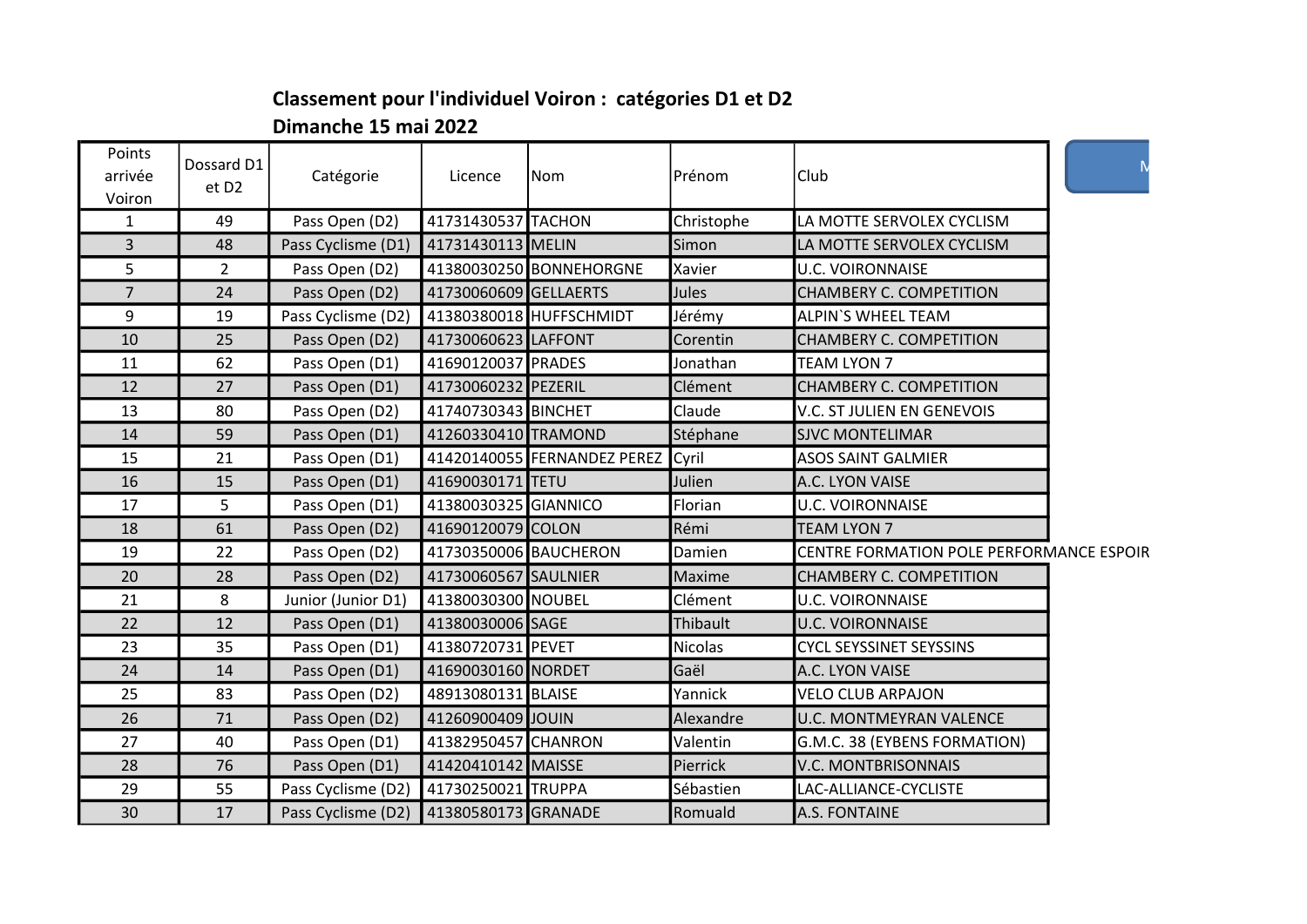## Classement pour l'individuel Voiron : catégories D1 et D2 Dimanche 15 mai 2022

| Points<br>arrivée<br>Voiron | Dossard D1<br>et D <sub>2</sub> | Catégorie                                  | Licence               | Nom                         | Prénom         | Club                                     |  |
|-----------------------------|---------------------------------|--------------------------------------------|-----------------------|-----------------------------|----------------|------------------------------------------|--|
| 1                           | 49                              | Pass Open (D2)                             | 41731430537 TACHON    |                             | Christophe     | LA MOTTE SERVOLEX CYCLISM                |  |
| $\overline{3}$              | 48                              | Pass Cyclisme (D1)                         | 41731430113 MELIN     |                             | Simon          | LA MOTTE SERVOLEX CYCLISM                |  |
| 5                           | $2^{\circ}$                     | Pass Open (D2)                             |                       | 41380030250 BONNEHORGNE     | Xavier         | <b>U.C. VOIRONNAISE</b>                  |  |
| $\overline{7}$              | 24                              | Pass Open (D2)                             | 41730060609 GELLAERTS |                             | <b>Jules</b>   | CHAMBERY C. COMPETITION                  |  |
| 9                           | 19                              | Pass Cyclisme (D2) 41380380018 HUFFSCHMIDT |                       |                             | Jérémy         | <b>ALPIN'S WHEEL TEAM</b>                |  |
| 10                          | 25                              | Pass Open (D2)                             | 41730060623 LAFFONT   |                             | Corentin       | CHAMBERY C. COMPETITION                  |  |
| 11                          | 62                              | Pass Open (D1)                             | 41690120037 PRADES    |                             | Jonathan       | <b>TEAM LYON 7</b>                       |  |
| 12                          | 27                              | Pass Open (D1)                             | 41730060232 PEZERIL   |                             | Clément        | CHAMBERY C. COMPETITION                  |  |
| 13                          | 80                              | Pass Open (D2)                             | 41740730343 BINCHET   |                             | Claude         | V.C. ST JULIEN EN GENEVOIS               |  |
| 14                          | 59                              | Pass Open (D1)                             | 41260330410 TRAMOND   |                             | Stéphane       | <b>SJVC MONTELIMAR</b>                   |  |
| 15                          | 21                              | Pass Open (D1)                             |                       | 41420140055 FERNANDEZ PEREZ | Cyril          | <b>ASOS SAINT GALMIER</b>                |  |
| 16                          | 15                              | Pass Open (D1)                             | 41690030171 TETU      |                             | Julien         | A.C. LYON VAISE                          |  |
| 17                          | 5                               | Pass Open (D1)                             | 41380030325 GIANNICO  |                             | Florian        | <b>U.C. VOIRONNAISE</b>                  |  |
| 18                          | 61                              | Pass Open (D2)                             | 41690120079 COLON     |                             | Rémi           | <b>TEAM LYON 7</b>                       |  |
| 19                          | 22                              | Pass Open (D2)                             | 41730350006 BAUCHERON |                             | Damien         | CENTRE FORMATION POLE PERFORMANCE ESPOIR |  |
| 20                          | 28                              | Pass Open (D2)                             | 41730060567 SAULNIER  |                             | Maxime         | CHAMBERY C. COMPETITION                  |  |
| 21                          | 8                               | Junior (Junior D1)                         | 41380030300 NOUBEL    |                             | Clément        | <b>U.C. VOIRONNAISE</b>                  |  |
| 22                          | 12                              | Pass Open (D1)                             | 41380030006 SAGE      |                             | Thibault       | <b>U.C. VOIRONNAISE</b>                  |  |
| 23                          | 35                              | Pass Open (D1)                             | 41380720731 PEVET     |                             | <b>Nicolas</b> | <b>CYCL SEYSSINET SEYSSINS</b>           |  |
| 24                          | 14                              | Pass Open (D1)                             | 41690030160 NORDET    |                             | Gaël           | A.C. LYON VAISE                          |  |
| 25                          | 83                              | Pass Open (D2)                             | 48913080131 BLAISE    |                             | Yannick        | <b>VELO CLUB ARPAJON</b>                 |  |
| 26                          | 71                              | Pass Open (D2)                             | 41260900409 JOUIN     |                             | Alexandre      | <b>U.C. MONTMEYRAN VALENCE</b>           |  |
| 27                          | 40                              | Pass Open (D1)                             | 41382950457 CHANRON   |                             | Valentin       | G.M.C. 38 (EYBENS FORMATION)             |  |
| 28                          | 76                              | Pass Open (D1)                             | 41420410142 MAISSE    |                             | Pierrick       | V.C. MONTBRISONNAIS                      |  |
| 29                          | 55                              | Pass Cyclisme (D2)                         | 41730250021 TRUPPA    |                             | Sébastien      | LAC-ALLIANCE-CYCLISTE                    |  |
| 30                          | 17                              | Pass Cyclisme (D2)                         | 41380580173 GRANADE   |                             | Romuald        | A.S. FONTAINE                            |  |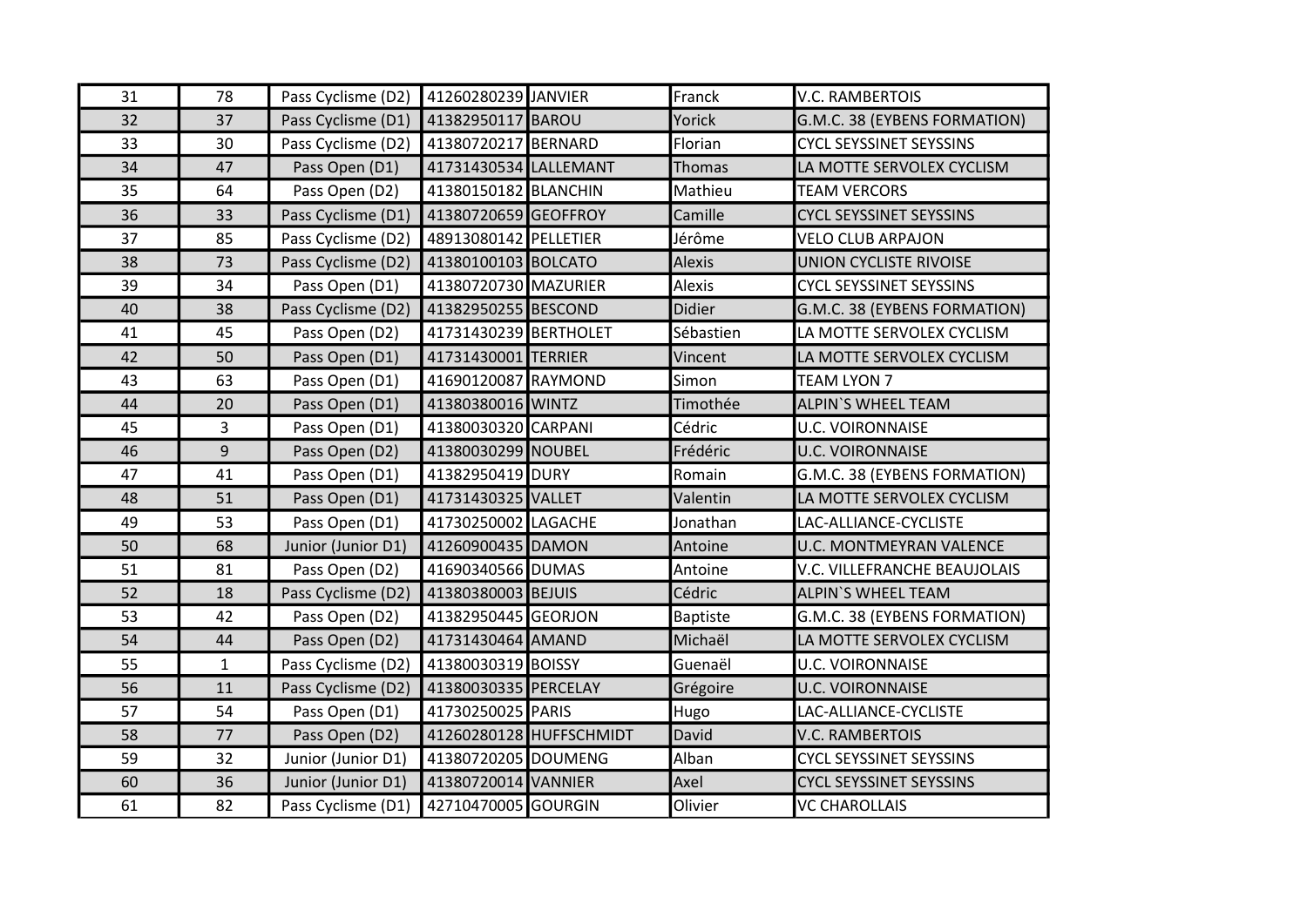| 31 | 78           | Pass Cyclisme (D2) | 41260280239 JANVIER   |                         | Franck          | <b>V.C. RAMBERTOIS</b>         |
|----|--------------|--------------------|-----------------------|-------------------------|-----------------|--------------------------------|
| 32 | 37           | Pass Cyclisme (D1) | 41382950117 BAROU     |                         | Yorick          | G.M.C. 38 (EYBENS FORMATION)   |
| 33 | 30           | Pass Cyclisme (D2) | 41380720217 BERNARD   |                         | Florian         | <b>CYCL SEYSSINET SEYSSINS</b> |
| 34 | 47           | Pass Open (D1)     | 41731430534 LALLEMANT |                         | Thomas          | LA MOTTE SERVOLEX CYCLISM      |
| 35 | 64           | Pass Open (D2)     | 41380150182 BLANCHIN  |                         | Mathieu         | <b>TEAM VERCORS</b>            |
| 36 | 33           | Pass Cyclisme (D1) | 41380720659 GEOFFROY  |                         | Camille         | <b>CYCL SEYSSINET SEYSSINS</b> |
| 37 | 85           | Pass Cyclisme (D2) | 48913080142 PELLETIER |                         | Jérôme          | <b>VELO CLUB ARPAJON</b>       |
| 38 | 73           | Pass Cyclisme (D2) | 41380100103 BOLCATO   |                         | <b>Alexis</b>   | UNION CYCLISTE RIVOISE         |
| 39 | 34           | Pass Open (D1)     | 41380720730 MAZURIER  |                         | <b>Alexis</b>   | <b>CYCL SEYSSINET SEYSSINS</b> |
| 40 | 38           | Pass Cyclisme (D2) | 41382950255 BESCOND   |                         | Didier          | G.M.C. 38 (EYBENS FORMATION)   |
| 41 | 45           | Pass Open (D2)     | 41731430239 BERTHOLET |                         | Sébastien       | LA MOTTE SERVOLEX CYCLISM      |
| 42 | 50           | Pass Open (D1)     | 41731430001 TERRIER   |                         | Vincent         | LA MOTTE SERVOLEX CYCLISM      |
| 43 | 63           | Pass Open (D1)     | 41690120087 RAYMOND   |                         | Simon           | <b>TEAM LYON 7</b>             |
| 44 | 20           | Pass Open (D1)     | 41380380016 WINTZ     |                         | Timothée        | <b>ALPIN'S WHEEL TEAM</b>      |
| 45 | 3            | Pass Open (D1)     | 41380030320 CARPANI   |                         | Cédric          | <b>U.C. VOIRONNAISE</b>        |
| 46 | 9            | Pass Open (D2)     | 41380030299 NOUBEL    |                         | Frédéric        | <b>U.C. VOIRONNAISE</b>        |
| 47 | 41           | Pass Open (D1)     | 41382950419 DURY      |                         | Romain          | G.M.C. 38 (EYBENS FORMATION)   |
| 48 | 51           | Pass Open (D1)     | 41731430325 VALLET    |                         | Valentin        | LA MOTTE SERVOLEX CYCLISM      |
| 49 | 53           | Pass Open (D1)     | 41730250002 LAGACHE   |                         | Jonathan        | LAC-ALLIANCE-CYCLISTE          |
| 50 | 68           | Junior (Junior D1) | 41260900435 DAMON     |                         | Antoine         | <b>U.C. MONTMEYRAN VALENCE</b> |
| 51 | 81           | Pass Open (D2)     | 41690340566 DUMAS     |                         | Antoine         | V.C. VILLEFRANCHE BEAUJOLAIS   |
| 52 | 18           | Pass Cyclisme (D2) | 41380380003 BEJUIS    |                         | Cédric          | <b>ALPIN'S WHEEL TEAM</b>      |
| 53 | 42           | Pass Open (D2)     | 41382950445 GEORJON   |                         | <b>Baptiste</b> | G.M.C. 38 (EYBENS FORMATION)   |
| 54 | 44           | Pass Open (D2)     | 41731430464 AMAND     |                         | Michaël         | LA MOTTE SERVOLEX CYCLISM      |
| 55 | $\mathbf{1}$ | Pass Cyclisme (D2) | 41380030319 BOISSY    |                         | Guenaël         | <b>U.C. VOIRONNAISE</b>        |
| 56 | 11           | Pass Cyclisme (D2) | 41380030335 PERCELAY  |                         | Grégoire        | <b>U.C. VOIRONNAISE</b>        |
| 57 | 54           | Pass Open (D1)     | 41730250025 PARIS     |                         | Hugo            | LAC-ALLIANCE-CYCLISTE          |
| 58 | 77           | Pass Open (D2)     |                       | 41260280128 HUFFSCHMIDT | David           | <b>V.C. RAMBERTOIS</b>         |
| 59 | 32           | Junior (Junior D1) | 41380720205 DOUMENG   |                         | Alban           | <b>CYCL SEYSSINET SEYSSINS</b> |
| 60 | 36           | Junior (Junior D1) | 41380720014 VANNIER   |                         | Axel            | <b>CYCL SEYSSINET SEYSSINS</b> |
| 61 | 82           | Pass Cyclisme (D1) | 42710470005 GOURGIN   |                         | Olivier         | <b>VC CHAROLLAIS</b>           |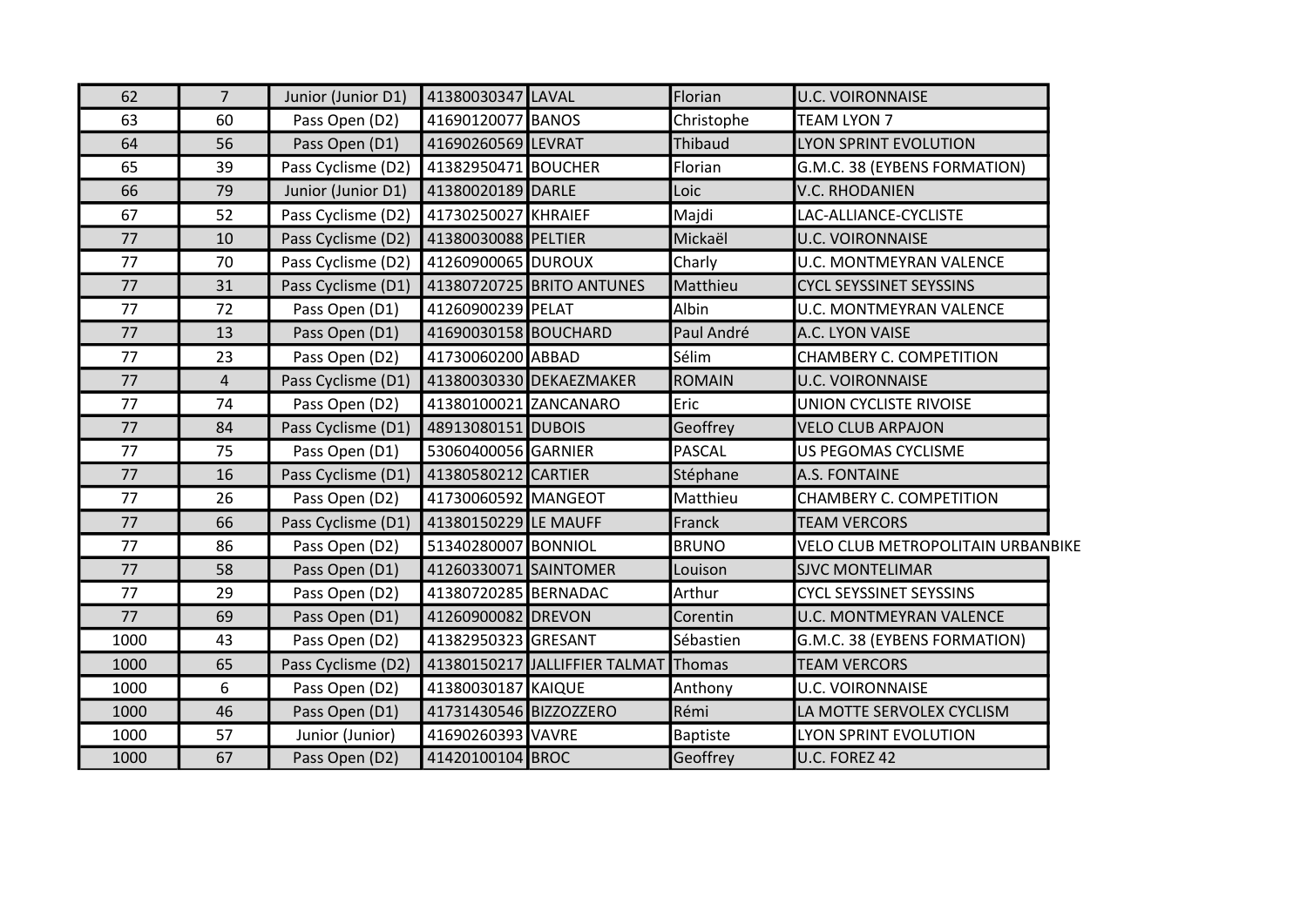| 62   | $\overline{7}$ | Junior (Junior D1) | 41380030347 LAVAL      |                               | Florian         | <b>U.C. VOIRONNAISE</b>           |
|------|----------------|--------------------|------------------------|-------------------------------|-----------------|-----------------------------------|
| 63   | 60             | Pass Open (D2)     | 41690120077 BANOS      |                               | Christophe      | <b>TEAM LYON 7</b>                |
| 64   | 56             | Pass Open (D1)     | 41690260569 LEVRAT     |                               | Thibaud         | LYON SPRINT EVOLUTION             |
| 65   | 39             | Pass Cyclisme (D2) | 41382950471 BOUCHER    |                               | Florian         | G.M.C. 38 (EYBENS FORMATION)      |
| 66   | 79             | Junior (Junior D1) | 41380020189 DARLE      |                               | Loic            | V.C. RHODANIEN                    |
| 67   | 52             | Pass Cyclisme (D2) | 41730250027 KHRAIEF    |                               | Majdi           | LAC-ALLIANCE-CYCLISTE             |
| 77   | 10             | Pass Cyclisme (D2) | 41380030088 PELTIER    |                               | Mickaël         | <b>U.C. VOIRONNAISE</b>           |
| 77   | 70             | Pass Cyclisme (D2) | 41260900065 DUROUX     |                               | Charly          | <b>U.C. MONTMEYRAN VALENCE</b>    |
| 77   | 31             | Pass Cyclisme (D1) |                        | 41380720725 BRITO ANTUNES     | Matthieu        | <b>CYCL SEYSSINET SEYSSINS</b>    |
| 77   | 72             | Pass Open (D1)     | 41260900239 PELAT      |                               | Albin           | U.C. MONTMEYRAN VALENCE           |
| 77   | 13             | Pass Open (D1)     | 41690030158 BOUCHARD   |                               | Paul André      | A.C. LYON VAISE                   |
| 77   | 23             | Pass Open (D2)     | 41730060200 ABBAD      |                               | Sélim           | CHAMBERY C. COMPETITION           |
| 77   | $\overline{4}$ | Pass Cyclisme (D1) |                        | 41380030330 DEKAEZMAKER       | <b>ROMAIN</b>   | <b>U.C. VOIRONNAISE</b>           |
| 77   | 74             | Pass Open (D2)     | 41380100021 ZANCANARO  |                               | Eric            | UNION CYCLISTE RIVOISE            |
| 77   | 84             | Pass Cyclisme (D1) | 48913080151 DUBOIS     |                               | Geoffrey        | <b>VELO CLUB ARPAJON</b>          |
| 77   | 75             | Pass Open (D1)     | 53060400056 GARNIER    |                               | <b>PASCAL</b>   | US PEGOMAS CYCLISME               |
| 77   | 16             | Pass Cyclisme (D1) | 41380580212 CARTIER    |                               | Stéphane        | A.S. FONTAINE                     |
| 77   | 26             | Pass Open (D2)     | 41730060592 MANGEOT    |                               | Matthieu        | CHAMBERY C. COMPETITION           |
| 77   | 66             | Pass Cyclisme (D1) | 41380150229 LE MAUFF   |                               | Franck          | <b>TEAM VERCORS</b>               |
| 77   | 86             | Pass Open (D2)     | 51340280007 BONNIOL    |                               | <b>BRUNO</b>    | VELO CLUB METROPOLITAIN URBANBIKE |
| 77   | 58             | Pass Open (D1)     | 41260330071 SAINTOMER  |                               | Louison         | <b>SJVC MONTELIMAR</b>            |
| 77   | 29             | Pass Open (D2)     | 41380720285 BERNADAC   |                               | Arthur          | <b>CYCL SEYSSINET SEYSSINS</b>    |
| 77   | 69             | Pass Open (D1)     | 41260900082 DREVON     |                               | Corentin        | <b>U.C. MONTMEYRAN VALENCE</b>    |
| 1000 | 43             | Pass Open (D2)     | 41382950323 GRESANT    |                               | Sébastien       | G.M.C. 38 (EYBENS FORMATION)      |
| 1000 | 65             | Pass Cyclisme (D2) |                        | 41380150217 JALLIFFIER TALMAT | Thomas          | <b>TEAM VERCORS</b>               |
| 1000 | 6              | Pass Open (D2)     | 41380030187 KAIQUE     |                               | Anthony         | <b>U.C. VOIRONNAISE</b>           |
| 1000 | 46             | Pass Open (D1)     | 41731430546 BIZZOZZERO |                               | Rémi            | LA MOTTE SERVOLEX CYCLISM         |
| 1000 | 57             | Junior (Junior)    | 41690260393 VAVRE      |                               | <b>Baptiste</b> | LYON SPRINT EVOLUTION             |
| 1000 | 67             | Pass Open (D2)     | 41420100104 BROC       |                               | Geoffrey        | U.C. FOREZ 42                     |